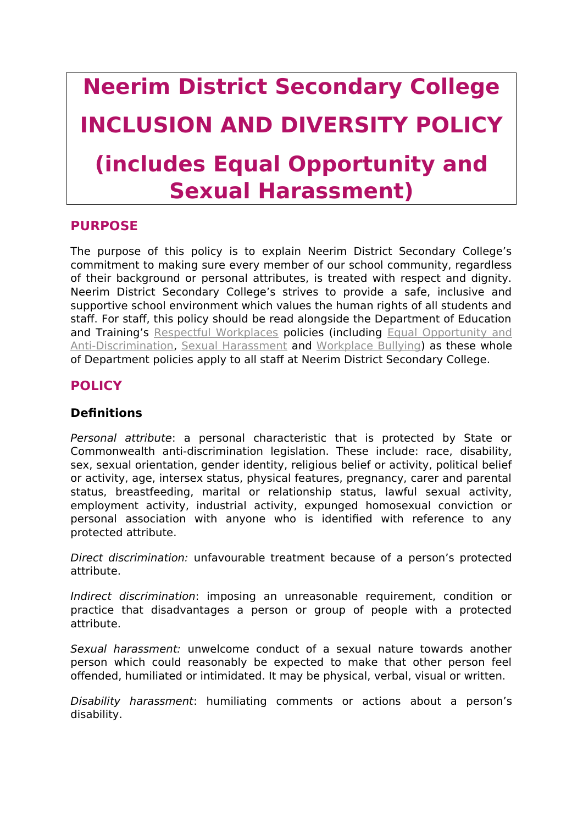# **Neerim District Secondary College INCLUSION AND DIVERSITY POLICY (includes Equal Opportunity and Sexual Harassment)**

## **PURPOSE**

The purpose of this policy is to explain Neerim District Secondary College's commitment to making sure every member of our school community, regardless of their background or personal attributes, is treated with respect and dignity. Neerim District Secondary College's strives to provide a safe, inclusive and supportive school environment which values the human rights of all students and staff. For staff, this policy should be read alongside the Department of Education and Training's [Respectful Workplaces](https://www.education.vic.gov.au/hrweb/divequity/Pages/respect.aspx) policies (including [Equal Opportunity and](https://www.education.vic.gov.au/hrweb/divequity/Pages/default_eeo.aspx) [Anti-Discrimination,](https://www.education.vic.gov.au/hrweb/divequity/Pages/default_eeo.aspx) [Sexual Harassment](https://www.education.vic.gov.au/hrweb/divequity/Pages/SexualHarassment.aspx) and [Workplace Bullying\)](https://www.education.vic.gov.au/hrweb/safetyhw/Pages/workplacebullying.aspx) as these whole of Department policies apply to all staff at Neerim District Secondary College.

# **POLICY**

## **Definitions**

Personal attribute: a personal characteristic that is protected by State or Commonwealth anti-discrimination legislation. These include: race, disability, sex, sexual orientation, gender identity, religious belief or activity, political belief or activity, age, intersex status, physical features, pregnancy, carer and parental status, breastfeeding, marital or relationship status, lawful sexual activity, employment activity, industrial activity, expunged homosexual conviction or personal association with anyone who is identified with reference to any protected attribute.

Direct discrimination: unfavourable treatment because of a person's protected attribute.

Indirect discrimination: imposing an unreasonable requirement, condition or practice that disadvantages a person or group of people with a protected attribute.

Sexual harassment: unwelcome conduct of a sexual nature towards another person which could reasonably be expected to make that other person feel offended, humiliated or intimidated. It may be physical, verbal, visual or written.

Disability harassment: humiliating comments or actions about a person's disability.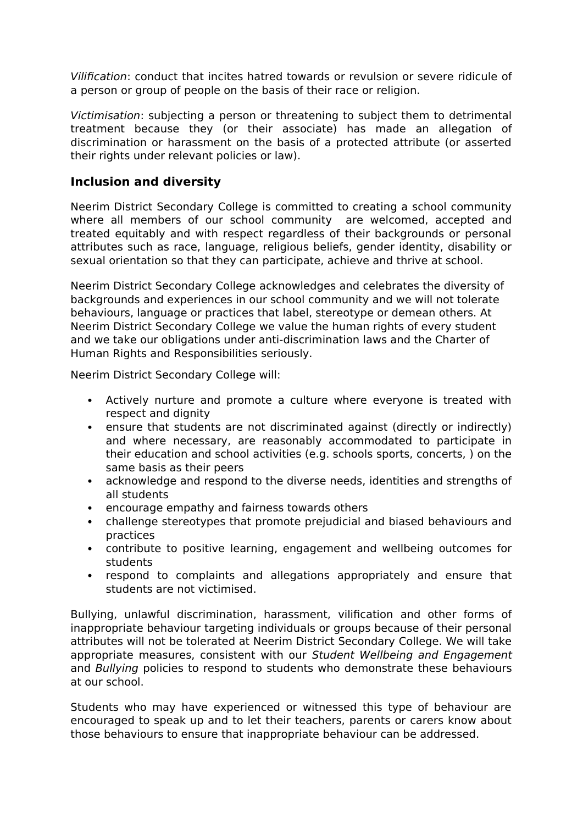Vilification: conduct that incites hatred towards or revulsion or severe ridicule of a person or group of people on the basis of their race or religion.

Victimisation: subjecting a person or threatening to subject them to detrimental treatment because they (or their associate) has made an allegation of discrimination or harassment on the basis of a protected attribute (or asserted their rights under relevant policies or law).

## **Inclusion and diversity**

Neerim District Secondary College is committed to creating a school community where all members of our school community are welcomed, accepted and treated equitably and with respect regardless of their backgrounds or personal attributes such as race, language, religious beliefs, gender identity, disability or sexual orientation so that they can participate, achieve and thrive at school.

Neerim District Secondary College acknowledges and celebrates the diversity of backgrounds and experiences in our school community and we will not tolerate behaviours, language or practices that label, stereotype or demean others. At Neerim District Secondary College we value the human rights of every student and we take our obligations under anti-discrimination laws and the Charter of Human Rights and Responsibilities seriously.

Neerim District Secondary College will:

- Actively nurture and promote a culture where everyone is treated with respect and dignity
- ensure that students are not discriminated against (directly or indirectly) and where necessary, are reasonably accommodated to participate in their education and school activities (e.g. schools sports, concerts, ) on the same basis as their peers
- acknowledge and respond to the diverse needs, identities and strengths of all students
- encourage empathy and fairness towards others
- challenge stereotypes that promote prejudicial and biased behaviours and practices
- contribute to positive learning, engagement and wellbeing outcomes for students
- respond to complaints and allegations appropriately and ensure that students are not victimised.

Bullying, unlawful discrimination, harassment, vilification and other forms of inappropriate behaviour targeting individuals or groups because of their personal attributes will not be tolerated at Neerim District Secondary College. We will take appropriate measures, consistent with our Student Wellbeing and Engagement and Bullying policies to respond to students who demonstrate these behaviours at our school.

Students who may have experienced or witnessed this type of behaviour are encouraged to speak up and to let their teachers, parents or carers know about those behaviours to ensure that inappropriate behaviour can be addressed.